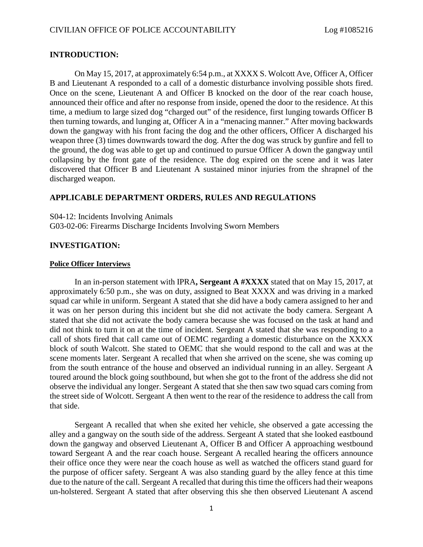## **INTRODUCTION:**

On May 15, 2017, at approximately 6:54 p.m., at XXXX S. Wolcott Ave, Officer A, Officer B and Lieutenant A responded to a call of a domestic disturbance involving possible shots fired. Once on the scene, Lieutenant A and Officer B knocked on the door of the rear coach house, announced their office and after no response from inside, opened the door to the residence. At this time, a medium to large sized dog "charged out" of the residence, first lunging towards Officer B then turning towards, and lunging at, Officer A in a "menacing manner." After moving backwards down the gangway with his front facing the dog and the other officers, Officer A discharged his weapon three (3) times downwards toward the dog. After the dog was struck by gunfire and fell to the ground, the dog was able to get up and continued to pursue Officer A down the gangway until collapsing by the front gate of the residence. The dog expired on the scene and it was later discovered that Officer B and Lieutenant A sustained minor injuries from the shrapnel of the discharged weapon.

# **APPLICABLE DEPARTMENT ORDERS, RULES AND REGULATIONS**

S04-12: Incidents Involving Animals G03-02-06: Firearms Discharge Incidents Involving Sworn Members

### **INVESTIGATION:**

#### **Police Officer Interviews**

In an in-person statement with IPRA**, Sergeant A #XXXX** stated that on May 15, 2017, at approximately 6:50 p.m., she was on duty, assigned to Beat XXXX and was driving in a marked squad car while in uniform. Sergeant A stated that she did have a body camera assigned to her and it was on her person during this incident but she did not activate the body camera. Sergeant A stated that she did not activate the body camera because she was focused on the task at hand and did not think to turn it on at the time of incident. Sergeant A stated that she was responding to a call of shots fired that call came out of OEMC regarding a domestic disturbance on the XXXX block of south Walcott. She stated to OEMC that she would respond to the call and was at the scene moments later. Sergeant A recalled that when she arrived on the scene, she was coming up from the south entrance of the house and observed an individual running in an alley. Sergeant A toured around the block going southbound, but when she got to the front of the address she did not observe the individual any longer. Sergeant A stated that she then saw two squad cars coming from the street side of Wolcott. Sergeant A then went to the rear of the residence to address the call from that side.

Sergeant A recalled that when she exited her vehicle, she observed a gate accessing the alley and a gangway on the south side of the address. Sergeant A stated that she looked eastbound down the gangway and observed Lieutenant A, Officer B and Officer A approaching westbound toward Sergeant A and the rear coach house. Sergeant A recalled hearing the officers announce their office once they were near the coach house as well as watched the officers stand guard for the purpose of officer safety. Sergeant A was also standing guard by the alley fence at this time due to the nature of the call. Sergeant A recalled that during this time the officers had their weapons un-holstered. Sergeant A stated that after observing this she then observed Lieutenant A ascend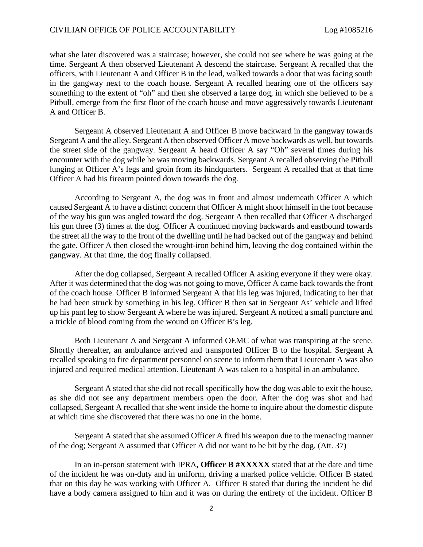what she later discovered was a staircase; however, she could not see where he was going at the time. Sergeant A then observed Lieutenant A descend the staircase. Sergeant A recalled that the officers, with Lieutenant A and Officer B in the lead, walked towards a door that was facing south in the gangway next to the coach house. Sergeant A recalled hearing one of the officers say something to the extent of "oh" and then she observed a large dog, in which she believed to be a Pitbull, emerge from the first floor of the coach house and move aggressively towards Lieutenant A and Officer B.

Sergeant A observed Lieutenant A and Officer B move backward in the gangway towards Sergeant A and the alley. Sergeant A then observed Officer A move backwards as well, but towards the street side of the gangway. Sergeant A heard Officer A say "Oh" several times during his encounter with the dog while he was moving backwards. Sergeant A recalled observing the Pitbull lunging at Officer A's legs and groin from its hindquarters. Sergeant A recalled that at that time Officer A had his firearm pointed down towards the dog.

According to Sergeant A, the dog was in front and almost underneath Officer A which caused Sergeant A to have a distinct concern that Officer A might shoot himself in the foot because of the way his gun was angled toward the dog. Sergeant A then recalled that Officer A discharged his gun three (3) times at the dog. Officer A continued moving backwards and eastbound towards the street all the way to the front of the dwelling until he had backed out of the gangway and behind the gate. Officer A then closed the wrought-iron behind him, leaving the dog contained within the gangway. At that time, the dog finally collapsed.

After the dog collapsed, Sergeant A recalled Officer A asking everyone if they were okay. After it was determined that the dog was not going to move, Officer A came back towards the front of the coach house. Officer B informed Sergeant A that his leg was injured, indicating to her that he had been struck by something in his leg. Officer B then sat in Sergeant As' vehicle and lifted up his pant leg to show Sergeant A where he was injured. Sergeant A noticed a small puncture and a trickle of blood coming from the wound on Officer B's leg.

Both Lieutenant A and Sergeant A informed OEMC of what was transpiring at the scene. Shortly thereafter, an ambulance arrived and transported Officer B to the hospital. Sergeant A recalled speaking to fire department personnel on scene to inform them that Lieutenant A was also injured and required medical attention. Lieutenant A was taken to a hospital in an ambulance.

Sergeant A stated that she did not recall specifically how the dog was able to exit the house, as she did not see any department members open the door. After the dog was shot and had collapsed, Sergeant A recalled that she went inside the home to inquire about the domestic dispute at which time she discovered that there was no one in the home.

Sergeant A stated that she assumed Officer A fired his weapon due to the menacing manner of the dog; Sergeant A assumed that Officer A did not want to be bit by the dog. (Att. 37)

In an in-person statement with IPRA**, Officer B #XXXXX** stated that at the date and time of the incident he was on-duty and in uniform, driving a marked police vehicle. Officer B stated that on this day he was working with Officer A. Officer B stated that during the incident he did have a body camera assigned to him and it was on during the entirety of the incident. Officer B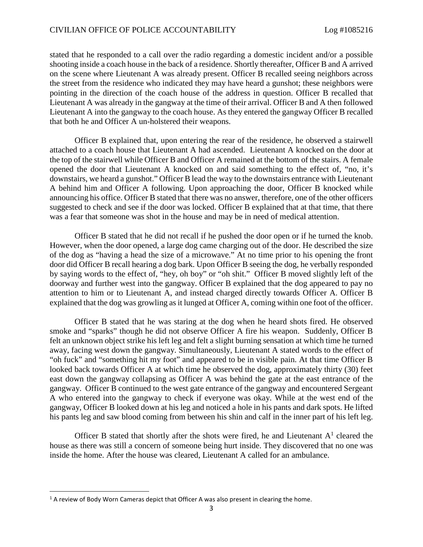stated that he responded to a call over the radio regarding a domestic incident and/or a possible shooting inside a coach house in the back of a residence. Shortly thereafter, Officer B and A arrived on the scene where Lieutenant A was already present. Officer B recalled seeing neighbors across the street from the residence who indicated they may have heard a gunshot; these neighbors were pointing in the direction of the coach house of the address in question. Officer B recalled that Lieutenant A was already in the gangway at the time of their arrival. Officer B and A then followed Lieutenant A into the gangway to the coach house. As they entered the gangway Officer B recalled that both he and Officer A un-holstered their weapons.

Officer B explained that, upon entering the rear of the residence, he observed a stairwell attached to a coach house that Lieutenant A had ascended. Lieutenant A knocked on the door at the top of the stairwell while Officer B and Officer A remained at the bottom of the stairs. A female opened the door that Lieutenant A knocked on and said something to the effect of, "no, it's downstairs, we heard a gunshot." Officer B lead the way to the downstairs entrance with Lieutenant A behind him and Officer A following. Upon approaching the door, Officer B knocked while announcing his office. Officer B stated that there was no answer, therefore, one of the other officers suggested to check and see if the door was locked. Officer B explained that at that time, that there was a fear that someone was shot in the house and may be in need of medical attention.

Officer B stated that he did not recall if he pushed the door open or if he turned the knob. However, when the door opened, a large dog came charging out of the door. He described the size of the dog as "having a head the size of a microwave." At no time prior to his opening the front door did Officer B recall hearing a dog bark. Upon Officer B seeing the dog, he verbally responded by saying words to the effect of, "hey, oh boy" or "oh shit." Officer B moved slightly left of the doorway and further west into the gangway. Officer B explained that the dog appeared to pay no attention to him or to Lieutenant A, and instead charged directly towards Officer A. Officer B explained that the dog was growling as it lunged at Officer A, coming within one foot of the officer.

Officer B stated that he was staring at the dog when he heard shots fired. He observed smoke and "sparks" though he did not observe Officer A fire his weapon. Suddenly, Officer B felt an unknown object strike his left leg and felt a slight burning sensation at which time he turned away, facing west down the gangway. Simultaneously, Lieutenant A stated words to the effect of "oh fuck" and "something hit my foot" and appeared to be in visible pain. At that time Officer B looked back towards Officer A at which time he observed the dog, approximately thirty (30) feet east down the gangway collapsing as Officer A was behind the gate at the east entrance of the gangway. Officer B continued to the west gate entrance of the gangway and encountered Sergeant A who entered into the gangway to check if everyone was okay. While at the west end of the gangway, Officer B looked down at his leg and noticed a hole in his pants and dark spots. He lifted his pants leg and saw blood coming from between his shin and calf in the inner part of his left leg.

Officer B stated that shortly after the shots were fired, he and Lieutenant  $A<sup>1</sup>$  cleared the house as there was still a concern of someone being hurt inside. They discovered that no one was inside the home. After the house was cleared, Lieutenant A called for an ambulance.

<span id="page-2-0"></span> $1$  A review of Body Worn Cameras depict that Officer A was also present in clearing the home.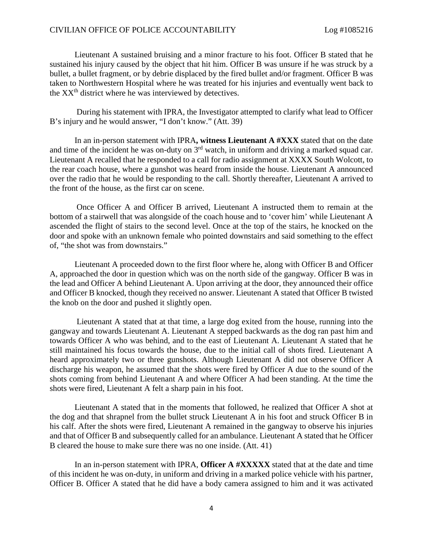### CIVILIAN OFFICE OF POLICE ACCOUNTABILITY Log #1085216

Lieutenant A sustained bruising and a minor fracture to his foot. Officer B stated that he sustained his injury caused by the object that hit him. Officer B was unsure if he was struck by a bullet, a bullet fragment, or by debrie displaced by the fired bullet and/or fragment. Officer B was taken to Northwestern Hospital where he was treated for his injuries and eventually went back to the  $XX<sup>th</sup>$  district where he was interviewed by detectives.

During his statement with IPRA, the Investigator attempted to clarify what lead to Officer B's injury and he would answer, "I don't know." (Att. 39)

In an in-person statement with IPRA**, witness Lieutenant A #XXX** stated that on the date and time of the incident he was on-duty on  $3<sup>rd</sup>$  watch, in uniform and driving a marked squad car. Lieutenant A recalled that he responded to a call for radio assignment at XXXX South Wolcott, to the rear coach house, where a gunshot was heard from inside the house. Lieutenant A announced over the radio that he would be responding to the call. Shortly thereafter, Lieutenant A arrived to the front of the house, as the first car on scene.

Once Officer A and Officer B arrived, Lieutenant A instructed them to remain at the bottom of a stairwell that was alongside of the coach house and to 'cover him' while Lieutenant A ascended the flight of stairs to the second level. Once at the top of the stairs, he knocked on the door and spoke with an unknown female who pointed downstairs and said something to the effect of, "the shot was from downstairs."

Lieutenant A proceeded down to the first floor where he, along with Officer B and Officer A, approached the door in question which was on the north side of the gangway. Officer B was in the lead and Officer A behind Lieutenant A. Upon arriving at the door, they announced their office and Officer B knocked, though they received no answer. Lieutenant A stated that Officer B twisted the knob on the door and pushed it slightly open.

Lieutenant A stated that at that time, a large dog exited from the house, running into the gangway and towards Lieutenant A. Lieutenant A stepped backwards as the dog ran past him and towards Officer A who was behind, and to the east of Lieutenant A. Lieutenant A stated that he still maintained his focus towards the house, due to the initial call of shots fired. Lieutenant A heard approximately two or three gunshots. Although Lieutenant A did not observe Officer A discharge his weapon, he assumed that the shots were fired by Officer A due to the sound of the shots coming from behind Lieutenant A and where Officer A had been standing. At the time the shots were fired, Lieutenant A felt a sharp pain in his foot.

Lieutenant A stated that in the moments that followed, he realized that Officer A shot at the dog and that shrapnel from the bullet struck Lieutenant A in his foot and struck Officer B in his calf. After the shots were fired, Lieutenant A remained in the gangway to observe his injuries and that of Officer B and subsequently called for an ambulance. Lieutenant A stated that he Officer B cleared the house to make sure there was no one inside. (Att. 41)

In an in-person statement with IPRA, **Officer A #XXXXX** stated that at the date and time of this incident he was on-duty, in uniform and driving in a marked police vehicle with his partner, Officer B. Officer A stated that he did have a body camera assigned to him and it was activated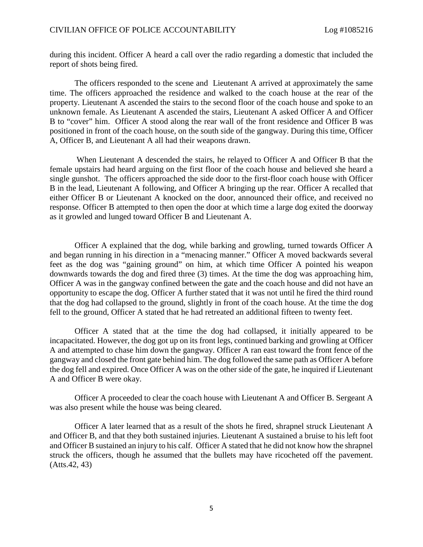during this incident. Officer A heard a call over the radio regarding a domestic that included the report of shots being fired.

The officers responded to the scene and Lieutenant A arrived at approximately the same time. The officers approached the residence and walked to the coach house at the rear of the property. Lieutenant A ascended the stairs to the second floor of the coach house and spoke to an unknown female. As Lieutenant A ascended the stairs, Lieutenant A asked Officer A and Officer B to "cover" him. Officer A stood along the rear wall of the front residence and Officer B was positioned in front of the coach house, on the south side of the gangway. During this time, Officer A, Officer B, and Lieutenant A all had their weapons drawn.

When Lieutenant A descended the stairs, he relayed to Officer A and Officer B that the female upstairs had heard arguing on the first floor of the coach house and believed she heard a single gunshot. The officers approached the side door to the first-floor coach house with Officer B in the lead, Lieutenant A following, and Officer A bringing up the rear. Officer A recalled that either Officer B or Lieutenant A knocked on the door, announced their office, and received no response. Officer B attempted to then open the door at which time a large dog exited the doorway as it growled and lunged toward Officer B and Lieutenant A.

Officer A explained that the dog, while barking and growling, turned towards Officer A and began running in his direction in a "menacing manner." Officer A moved backwards several feet as the dog was "gaining ground" on him, at which time Officer A pointed his weapon downwards towards the dog and fired three (3) times. At the time the dog was approaching him, Officer A was in the gangway confined between the gate and the coach house and did not have an opportunity to escape the dog. Officer A further stated that it was not until he fired the third round that the dog had collapsed to the ground, slightly in front of the coach house. At the time the dog fell to the ground, Officer A stated that he had retreated an additional fifteen to twenty feet.

Officer A stated that at the time the dog had collapsed, it initially appeared to be incapacitated. However, the dog got up on its front legs, continued barking and growling at Officer A and attempted to chase him down the gangway. Officer A ran east toward the front fence of the gangway and closed the front gate behind him. The dog followed the same path as Officer A before the dog fell and expired. Once Officer A was on the other side of the gate, he inquired if Lieutenant A and Officer B were okay.

Officer A proceeded to clear the coach house with Lieutenant A and Officer B. Sergeant A was also present while the house was being cleared.

Officer A later learned that as a result of the shots he fired, shrapnel struck Lieutenant A and Officer B, and that they both sustained injuries. Lieutenant A sustained a bruise to his left foot and Officer B sustained an injury to his calf. Officer A stated that he did not know how the shrapnel struck the officers, though he assumed that the bullets may have ricocheted off the pavement. (Atts.42, 43)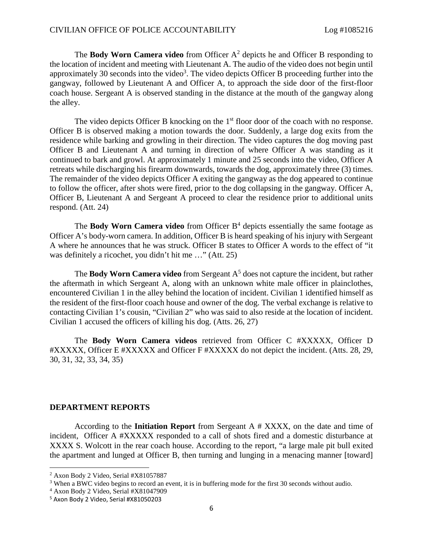The **Body Worn Camera video** from Officer [A](#page-5-0)<sup>2</sup> depicts he and Officer B responding to the location of incident and meeting with Lieutenant A. The audio of the video does not begin until approximately30 seconds into the video<sup>3</sup>. The video depicts Officer B proceeding further into the gangway, followed by Lieutenant A and Officer A, to approach the side door of the first-floor coach house. Sergeant A is observed standing in the distance at the mouth of the gangway along the alley.

The video depicts Officer B knocking on the 1<sup>st</sup> floor door of the coach with no response. Officer B is observed making a motion towards the door. Suddenly, a large dog exits from the residence while barking and growling in their direction. The video captures the dog moving past Officer B and Lieutenant A and turning in direction of where Officer A was standing as it continued to bark and growl. At approximately 1 minute and 25 seconds into the video, Officer A retreats while discharging his firearm downwards, towards the dog, approximately three (3) times. The remainder of the video depicts Officer A exiting the gangway as the dog appeared to continue to follow the officer, after shots were fired, prior to the dog collapsing in the gangway. Officer A, Officer B, Lieutenant A and Sergeant A proceed to clear the residence prior to additional units respond. (Att. 24)

The **Body Worn Camera video** from Officer B<sup>[4](#page-5-2)</sup> depicts essentially the same footage as Officer A's body-worn camera. In addition, Officer B is heard speaking of his injury with Sergeant A where he announces that he was struck. Officer B states to Officer A words to the effect of "it was definitely a ricochet, you didn't hit me …" (Att. 25)

The **Body Worn Camera video** from Sergeant  $A<sup>5</sup>$  does not capture the incident, but rather the aftermath in which Sergeant A, along with an unknown white male officer in plainclothes, encountered Civilian 1 in the alley behind the location of incident. Civilian 1 identified himself as the resident of the first-floor coach house and owner of the dog. The verbal exchange is relative to contacting Civilian 1's cousin, "Civilian 2" who was said to also reside at the location of incident. Civilian 1 accused the officers of killing his dog. (Atts. 26, 27)

The **Body Worn Camera videos** retrieved from Officer C #XXXXX, Officer D #XXXXX, Officer E #XXXXX and Officer F #XXXXX do not depict the incident. (Atts. 28, 29, 30, 31, 32, 33, 34, 35)

### **DEPARTMENT REPORTS**

According to the **Initiation Report** from Sergeant A # XXXX, on the date and time of incident, Officer A #XXXXX responded to a call of shots fired and a domestic disturbance at XXXX S. Wolcott in the rear coach house. According to the report, "a large male pit bull exited the apartment and lunged at Officer B, then turning and lunging in a menacing manner [toward]

<span id="page-5-1"></span><span id="page-5-0"></span><sup>2</sup> Axon Body 2 Video, Serial #X81057887

<span id="page-5-2"></span><sup>&</sup>lt;sup>3</sup> When a BWC video begins to record an event, it is in buffering mode for the first 30 seconds without audio.

<span id="page-5-3"></span><sup>4</sup> Axon Body 2 Video, Serial #X81047909

<sup>5</sup> Axon Body 2 Video, Serial #X81050203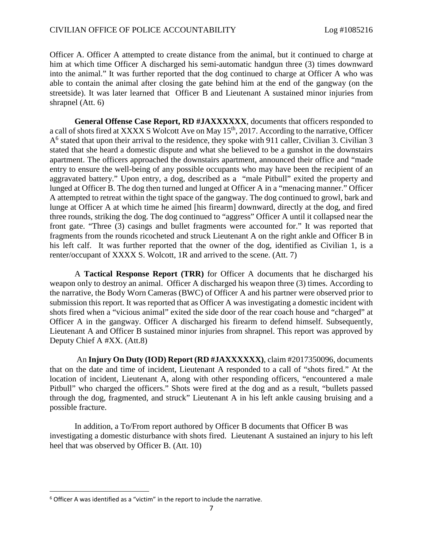Officer A. Officer A attempted to create distance from the animal, but it continued to charge at him at which time Officer A discharged his semi-automatic handgun three (3) times downward into the animal." It was further reported that the dog continued to charge at Officer A who was able to contain the animal after closing the gate behind him at the end of the gangway (on the streetside). It was later learned that Officer B and Lieutenant A sustained minor injuries from shrapnel (Att. 6)

**General Offense Case Report, RD #JAXXXXXX**, documents that officers responded to a call of shots fired at XXXX S Wolcott Ave on May 15<sup>th</sup>, 2017. According to the narrative, Officer A [6](#page-6-0) stated that upon their arrival to the residence, they spoke with 911 caller, Civilian 3. Civilian 3 stated that she heard a domestic dispute and what she believed to be a gunshot in the downstairs apartment. The officers approached the downstairs apartment, announced their office and "made entry to ensure the well-being of any possible occupants who may have been the recipient of an aggravated battery." Upon entry, a dog, described as a "male Pitbull" exited the property and lunged at Officer B. The dog then turned and lunged at Officer A in a "menacing manner." Officer A attempted to retreat within the tight space of the gangway. The dog continued to growl, bark and lunge at Officer A at which time he aimed [his firearm] downward, directly at the dog, and fired three rounds, striking the dog. The dog continued to "aggress" Officer A until it collapsed near the front gate. "Three (3) casings and bullet fragments were accounted for." It was reported that fragments from the rounds ricocheted and struck Lieutenant A on the right ankle and Officer B in his left calf. It was further reported that the owner of the dog, identified as Civilian 1, is a renter/occupant of XXXX S. Wolcott, 1R and arrived to the scene. (Att. 7)

A **Tactical Response Report (TRR)** for Officer A documents that he discharged his weapon only to destroy an animal. Officer A discharged his weapon three (3) times. According to the narrative, the Body Worn Cameras (BWC) of Officer A and his partner were observed prior to submission this report. It was reported that as Officer A was investigating a domestic incident with shots fired when a "vicious animal" exited the side door of the rear coach house and "charged" at Officer A in the gangway. Officer A discharged his firearm to defend himself. Subsequently, Lieutenant A and Officer B sustained minor injuries from shrapnel. This report was approved by Deputy Chief A #XX. (Att.8)

An **Injury On Duty (IOD) Report (RD #JAXXXXXX)**, claim #2017350096, documents that on the date and time of incident, Lieutenant A responded to a call of "shots fired." At the location of incident, Lieutenant A, along with other responding officers, "encountered a male Pitbull" who charged the officers." Shots were fired at the dog and as a result, "bullets passed through the dog, fragmented, and struck" Lieutenant A in his left ankle causing bruising and a possible fracture.

In addition, a To/From report authored by Officer B documents that Officer B was investigating a domestic disturbance with shots fired. Lieutenant A sustained an injury to his left heel that was observed by Officer B. (Att. 10)

<span id="page-6-0"></span> $6$  Officer A was identified as a "victim" in the report to include the narrative.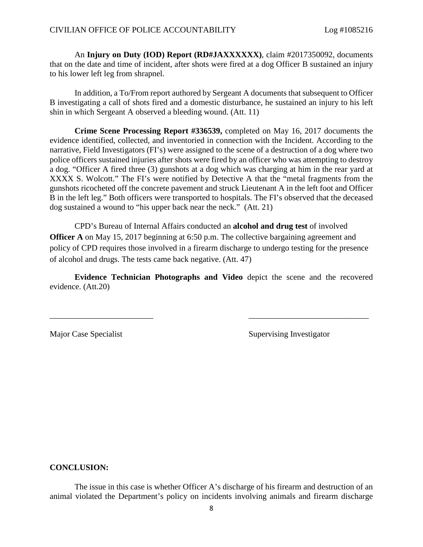An **Injury on Duty (IOD) Report (RD#JAXXXXXX)**, claim #2017350092, documents that on the date and time of incident, after shots were fired at a dog Officer B sustained an injury to his lower left leg from shrapnel.

In addition, a To/From report authored by Sergeant A documents that subsequent to Officer B investigating a call of shots fired and a domestic disturbance, he sustained an injury to his left shin in which Sergeant A observed a bleeding wound. (Att. 11)

**Crime Scene Processing Report #336539,** completed on May 16, 2017 documents the evidence identified, collected, and inventoried in connection with the Incident. According to the narrative, Field Investigators (FI's) were assigned to the scene of a destruction of a dog where two police officers sustained injuries after shots were fired by an officer who was attempting to destroy a dog. "Officer A fired three (3) gunshots at a dog which was charging at him in the rear yard at XXXX S. Wolcott." The FI's were notified by Detective A that the "metal fragments from the gunshots ricocheted off the concrete pavement and struck Lieutenant A in the left foot and Officer B in the left leg." Both officers were transported to hospitals. The FI's observed that the deceased dog sustained a wound to "his upper back near the neck." (Att. 21)

CPD's Bureau of Internal Affairs conducted an **alcohol and drug test** of involved **Officer A** on May 15, 2017 beginning at 6:50 p.m. The collective bargaining agreement and policy of CPD requires those involved in a firearm discharge to undergo testing for the presence of alcohol and drugs. The tests came back negative. (Att. 47)

**Evidence Technician Photographs and Video** depict the scene and the recovered evidence. (Att.20)

\_\_\_\_\_\_\_\_\_\_\_\_\_\_\_\_\_\_\_\_\_\_\_\_\_ \_\_\_\_\_\_\_\_\_\_\_\_\_\_\_\_\_\_\_\_\_\_\_\_\_\_\_\_\_

Major Case Specialist Supervising Investigator

# **CONCLUSION:**

The issue in this case is whether Officer A's discharge of his firearm and destruction of an animal violated the Department's policy on incidents involving animals and firearm discharge